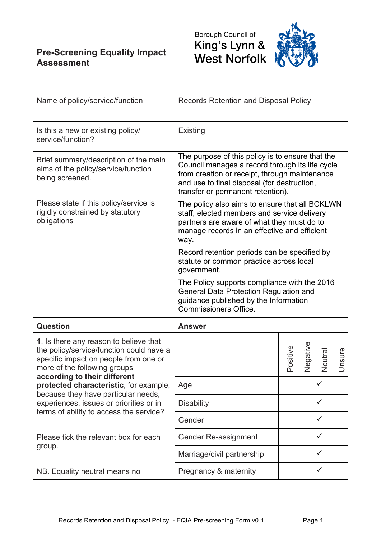## **Pre-Screening Equality Impact Assessment**





| Name of policy/service/function                                                                                                                                                                                                                                                                                                                                    | Records Retention and Disposal Policy                                                                                                                                                                                                                                     |          |          |              |        |
|--------------------------------------------------------------------------------------------------------------------------------------------------------------------------------------------------------------------------------------------------------------------------------------------------------------------------------------------------------------------|---------------------------------------------------------------------------------------------------------------------------------------------------------------------------------------------------------------------------------------------------------------------------|----------|----------|--------------|--------|
| Is this a new or existing policy/<br>service/function?                                                                                                                                                                                                                                                                                                             | Existing                                                                                                                                                                                                                                                                  |          |          |              |        |
| Brief summary/description of the main<br>aims of the policy/service/function<br>being screened.                                                                                                                                                                                                                                                                    | The purpose of this policy is to ensure that the<br>Council manages a record through its life cycle<br>from creation or receipt, through maintenance<br>and use to final disposal (for destruction,<br>transfer or permanent retention).                                  |          |          |              |        |
| Please state if this policy/service is<br>rigidly constrained by statutory<br>obligations                                                                                                                                                                                                                                                                          | The policy also aims to ensure that all BCKLWN<br>staff, elected members and service delivery<br>partners are aware of what they must do to<br>manage records in an effective and efficient<br>way.                                                                       |          |          |              |        |
|                                                                                                                                                                                                                                                                                                                                                                    | Record retention periods can be specified by<br>statute or common practice across local<br>government.<br>The Policy supports compliance with the 2016<br>General Data Protection Regulation and<br>guidance published by the Information<br><b>Commissioners Office.</b> |          |          |              |        |
|                                                                                                                                                                                                                                                                                                                                                                    |                                                                                                                                                                                                                                                                           |          |          |              |        |
| Question                                                                                                                                                                                                                                                                                                                                                           | <b>Answer</b>                                                                                                                                                                                                                                                             |          |          |              |        |
| 1. Is there any reason to believe that<br>the policy/service/function could have a<br>specific impact on people from one or<br>more of the following groups<br>according to their different<br>protected characteristic, for example,<br>because they have particular needs,<br>experiences, issues or priorities or in<br>terms of ability to access the service? |                                                                                                                                                                                                                                                                           | Positive | Negative | Neutra       | Unsure |
|                                                                                                                                                                                                                                                                                                                                                                    | Age                                                                                                                                                                                                                                                                       |          |          | $\checkmark$ |        |
|                                                                                                                                                                                                                                                                                                                                                                    | <b>Disability</b>                                                                                                                                                                                                                                                         |          |          | $\checkmark$ |        |
|                                                                                                                                                                                                                                                                                                                                                                    | Gender                                                                                                                                                                                                                                                                    |          |          | $\checkmark$ |        |
| Please tick the relevant box for each<br>group.                                                                                                                                                                                                                                                                                                                    | Gender Re-assignment                                                                                                                                                                                                                                                      |          |          | $\checkmark$ |        |
|                                                                                                                                                                                                                                                                                                                                                                    | Marriage/civil partnership                                                                                                                                                                                                                                                |          |          | $\checkmark$ |        |
| NB. Equality neutral means no                                                                                                                                                                                                                                                                                                                                      | Pregnancy & maternity                                                                                                                                                                                                                                                     |          |          | $\checkmark$ |        |